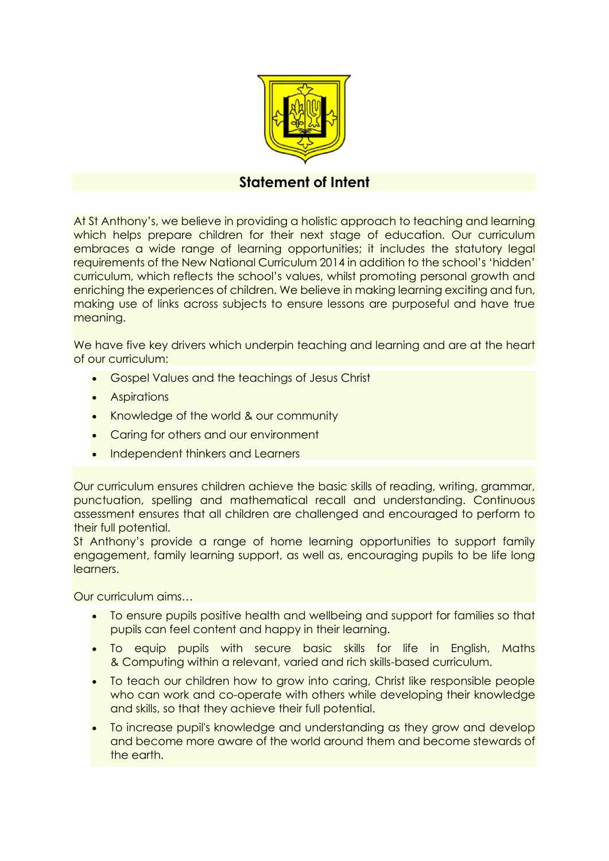

## **Statement of Intent**

At St Anthony's, we believe in providing a holistic approach to teaching and learning which helps prepare children for their next stage of education. Our curriculum embraces a wide range of learning opportunities; it includes the statutory legal requirements of the New National Curriculum 2014 in addition to the school's 'hidden' curriculum, which reflects the school's values, whilst promoting personal growth and enriching the experiences of children. We believe in making learning exciting and fun, making use of links across subjects to ensure lessons are purposeful and have true meaning.

We have five key drivers which underpin teaching and learning and are at the heart of our curriculum:

- Gospel Values and the teachings of Jesus Christ
- Aspirations
- Knowledge of the world & our community
- Caring for others and our environment
- Independent thinkers and Learners

Our curriculum ensures children achieve the basic skills of reading, writing, grammar, punctuation, spelling and mathematical recall and understanding. Continuous assessment ensures that all children are challenged and encouraged to perform to their full potential.

St Anthony's provide a range of home learning opportunities to support family engagement, family learning support, as well as, encouraging pupils to be life long learners.

Our curriculum aims…

- To ensure pupils positive health and wellbeing and support for families so that pupils can feel content and happy in their learning.
- To equip pupils with secure basic skills for life in English, Maths & Computing within a relevant, varied and rich skills-based curriculum.
- To teach our children how to grow into caring, Christ like responsible people who can work and co-operate with others while developing their knowledge and skills, so that they achieve their full potential.
- To increase pupil's knowledge and understanding as they grow and develop and become more aware of the world around them and become stewards of the earth.